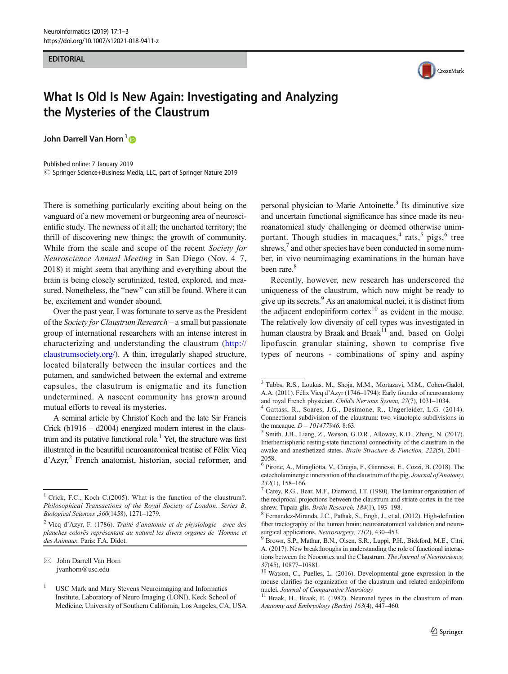## EDITORIAL



## What Is Old Is New Again: Investigating and Analyzing the Mysteries of the Claustrum

John Darrell Van Horn<sup>1</sup><sup>®</sup>

Published online: 7 January 2019 © Springer Science+Business Media, LLC, part of Springer Nature 2019

There is something particularly exciting about being on the vanguard of a new movement or burgeoning area of neuroscientific study. The newness of it all; the uncharted territory; the thrill of discovering new things; the growth of community. While from the scale and scope of the recent Society for Neuroscience Annual Meeting in San Diego (Nov. 4–7, 2018) it might seem that anything and everything about the brain is being closely scrutinized, tested, explored, and measured. Nonetheless, the "new" can still be found. Where it can be, excitement and wonder abound.

Over the past year, I was fortunate to serve as the President of the Society for Claustrum Research – a small but passionate group of international researchers with an intense interest in characterizing and understanding the claustrum ([http://](http://claustrumsociety.org/) [claustrumsociety.org/\)](http://claustrumsociety.org/). A thin, irregularly shaped structure, located bilaterally between the insular cortices and the putamen, and sandwiched between the external and extreme capsules, the clasutrum is enigmatic and its function undetermined. A nascent community has grown around mutual efforts to reveal its mysteries.

A seminal article by Christof Koch and the late Sir Francis Crick (b1916 – d2004) energized modern interest in the claustrum and its putative functional role.<sup>1</sup> Yet, the structure was first illustrated in the beautiful neuroanatomical treatise of Félix Vicq d'Azyr,<sup>2</sup> French anatomist, historian, social reformer, and personal physician to Marie Antoinette. $3$  Its diminutive size and uncertain functional significance has since made its neuroanatomical study challenging or deemed otherwise unimportant. Though studies in macaques, $4 \text{ rats}, 5 \text{ pigs}, 6 \text{ tree}$ shrews,<sup>7</sup> and other species have been conducted in some number, in vivo neuroimaging examinations in the human have been rare.<sup>8</sup>

Recently, however, new research has underscored the uniqueness of the claustrum, which now might be ready to give up its secrets.9 As an anatomical nuclei, it is distinct from the adjacent endopiriform cortex<sup>10</sup> as evident in the mouse. The relatively low diversity of cell types was investigated in human claustra by Braak and Braak<sup>11</sup> and, based on Golgi lipofuscin granular staining, shown to comprise five types of neurons - combinations of spiny and aspiny

<sup>&</sup>lt;sup>1</sup> Crick, F.C., Koch C.(2005). What is the function of the claustrum?. Philosophical Transactions of the Royal Society of London. Series B, Biological Sciences ,360(1458), 1271–1279.

<sup>2</sup> Vicq d'Azyr, F. (1786). Traité d'anatomie et de physiologie—avec des planches colorës représentant au naturel les divers organes de 'Homme et des Animaux. Paris: F.A. Didot.

 $\boxtimes$  John Darrell Van Horn [jvanhorn@usc.edu](mailto:jvanhorn@usc.edu)

<sup>1</sup> USC Mark and Mary Stevens Neuroimaging and Informatics Institute, Laboratory of Neuro Imaging (LONI), Keck School of Medicine, University of Southern California, Los Angeles, CA, USA

<sup>3</sup> Tubbs, R.S., Loukas, M., Shoja, M.M., Mortazavi, M.M., Cohen-Gadol, A.A. (2011). Félix Vicq d'Azyr (1746–1794): Early founder of neuroanatomy

and royal French physician. Child's Nervous System, 27(7), 1031–1034. <sup>4</sup> Gattass, R., Soares, J.G., Desimone, R., Ungerleider, L.G. (2014). Connectional subdivision of the claustrum: two visuotopic subdivisions in

the macaque.  $D - 101477946$ . 8:63. 5 Smith, J.B., Liang, Z., Watson, G.D.R., Alloway, K.D., Zhang, N. (2017). Interhemispheric resting-state functional connectivity of the claustrum in the awake and anesthetized states. Brain Structure & Function, 222(5), 2041– 2058.

<sup>6</sup> Pirone, A., Miragliotta, V., Ciregia, F., Giannessi, E., Cozzi, B. (2018). The catecholaminergic innervation of the claustrum of the pig. Journal of Anatomy,

<sup>232(1), 158–166.</sup> *7* Carey, R.G., Bear, M.F., Diamond, I.T. (1980). The laminar organization of the reciprocal projections between the claustrum and striate cortex in the tree

shrew, Tupaia glis. Brain Research, 184(1), 193-198.<br><sup>8</sup> Fernandez-Miranda, J.C., Pathak, S., Engh, J., et al. (2012). High-definition fiber tractography of the human brain: neuroanatomical validation and neuro-

surgical applications. Neurosurgery, 71(2), 430–453.<br><sup>9</sup> Brown, S.P., Mathur, B.N., Olsen, S.R., Luppi, P.H., Bickford, M.E., Citri, A. (2017). New breakthroughs in understanding the role of functional interactions between the Neocortex and the Claustrum. The Journal of Neuroscience,

 $37(45)$ , 10877–10881.<br><sup>10</sup> Watson, C., Puelles, L. (2016). Developmental gene expression in the mouse clarifies the organization of the claustrum and related endopiriform nuclei. Journal of Comparative Neurology

 $11$  Braak, H., Braak, E. (1982). Neuronal types in the claustrum of man. Anatomy and Embryology (Berlin) 163(4), 447–460.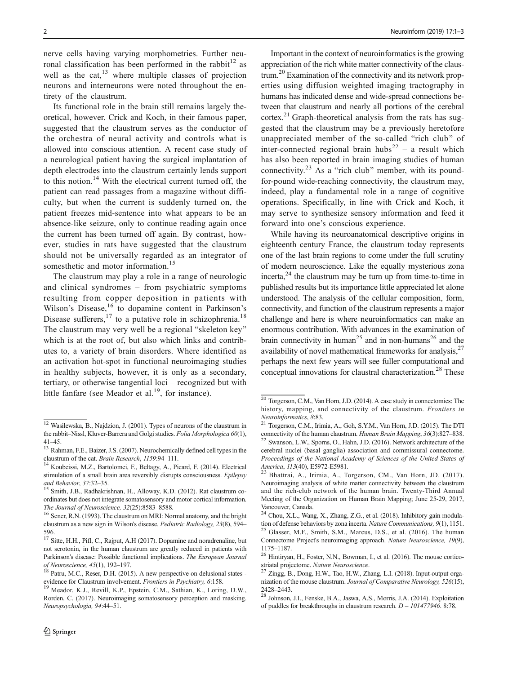nerve cells having varying morphometries. Further neuronal classification has been performed in the rabbit<sup>12</sup> as well as the cat, $^{13}$  where multiple classes of projection neurons and interneurons were noted throughout the entirety of the claustrum.

Its functional role in the brain still remains largely theoretical, however. Crick and Koch, in their famous paper, suggested that the claustrum serves as the conductor of the orchestra of neural activity and controls what is allowed into conscious attention. A recent case study of a neurological patient having the surgical implantation of depth electrodes into the claustrum certainly lends support to this notion.<sup>14</sup> With the electrical current turned off, the patient can read passages from a magazine without difficulty, but when the current is suddenly turned on, the patient freezes mid-sentence into what appears to be an absence-like seizure, only to continue reading again once the current has been turned off again. By contrast, however, studies in rats have suggested that the claustrum should not be universally regarded as an integrator of somesthetic and motor information.<sup>15</sup>

The claustrum may play a role in a range of neurologic and clinical syndromes – from psychiatric symptoms resulting from copper deposition in patients with Wilson's Disease,  $16$  to dopamine content in Parkinson's Disease sufferers,  $17$  to a putative role in schizophrenia.<sup>18</sup> The claustrum may very well be a regional "skeleton key" which is at the root of, but also which links and contributes to, a variety of brain disorders. Where identified as an activation hot-spot in functional neuroimaging studies in healthy subjects, however, it is only as a secondary, tertiary, or otherwise tangential loci – recognized but with little fanfare (see Meador et al.<sup>19</sup>, for instance).

Important in the context of neuroinformatics is the growing appreciation of the rich white matter connectivity of the claustrum.20 Examination of the connectivity and its network properties using diffusion weighted imaging tractography in humans has indicated dense and wide-spread connections between that claustrum and nearly all portions of the cerebral  $cortex<sup>21</sup> Graph-theoretical analysis from the rats has sug$ gested that the claustrum may be a previously heretofore unappreciated member of the so-called "rich club" of inter-connected regional brain hubs<sup>22</sup> – a result which has also been reported in brain imaging studies of human connectivity. $23$  As a "rich club" member, with its poundfor-pound wide-reaching connectivity, the claustrum may, indeed, play a fundamental role in a range of cognitive operations. Specifically, in line with Crick and Koch, it may serve to synthesize sensory information and feed it forward into one's conscious experience.

While having its neuroanatomical descriptive origins in eighteenth century France, the claustrum today represents one of the last brain regions to come under the full scrutiny of modern neuroscience. Like the equally mysterious zona  $\text{incerta}$ <sup>24</sup> the claustrum may be turn up from time-to-time in published results but its importance little appreciated let alone understood. The analysis of the cellular composition, form, connectivity, and function of the claustrum represents a major challenge and here is where neuroinformatics can make an enormous contribution. With advances in the examination of brain connectivity in human<sup>25</sup> and in non-humans<sup>26</sup> and the availability of novel mathematical frameworks for analysis, $27$ perhaps the next few years will see fuller computational and conceptual innovations for claustral characterization.<sup>28</sup> These

<sup>&</sup>lt;sup>12</sup> Wasilewska, B., Najdzion, J. (2001). Types of neurons of the claustrum in the rabbit–Nissl, Kluver-Barrera and Golgi studies. Folia Morphologica 60(1),

<sup>41–45.&</sup>lt;br><sup>13</sup> Rahman, F.E., Baizer, J.S. (2007). Neurochemically defined cell types in the

claustrum of the cat. Brain Research, 1159:94-111.<br><sup>14</sup> Koubeissi, M.Z., Bartolomei, F., Beltagy, A., Picard, F. (2014). Electrical stimulation of a small brain area reversibly disrupts consciousness. Epilepsy

and Behavior, 37:32-35.<br><sup>15</sup> Smith, J.B., Radhakrishnan, H., Alloway, K.D. (2012). Rat claustrum coordinates but does not integrate somatosensory and motor cortical information.

The Journal of Neuroscience, 32(25):8583–8588.<br><sup>16</sup> Sener, R.N. (1993). The claustrum on MRI: Normal anatomy, and the bright claustrum as a new sign in Wilson's disease. Pediatric Radiology, 23(8), 594– 596.

<sup>&</sup>lt;sup>17</sup> Sitte, H.H., Pifl, C., Rajput, A.H (2017). Dopamine and noradrenaline, but not serotonin, in the human claustrum are greatly reduced in patients with Parkinson's disease: Possible functional implications. The European Journal<br>of Neuroscience, 45(1), 192–197.<br><sup>18</sup> Patru M.C. Boost P.H. (2015).

Patru, M.C., Reser, D.H. (2015). A new perspective on delusional states evidence for Claustrum involvement. Frontiers in Psychiatry, 6:158.<br><sup>19</sup> Meador, K.J., Revill, K.P., Epstein, C.M., Sathian, K., Loring, D.W.,

Rorden, C. (2017). Neuroimaging somatosensory perception and masking. Neuropsychologia, 94:44–51.

<sup>20</sup> Torgerson, C.M., Van Horn, J.D. (2014). A case study in connectomics: The history, mapping, and connectivity of the claustrum. Frontiers in

Neuroinformatics, 8:83.<br><sup>21</sup> Torgerson, C.M., Irimia, A., Goh, S.Y.M., Van Horn, J.D. (2015). The DTI connectivity of the human claustrum. *Human Brain Mapping*, 36(3):827–838.

 $22$  Swanson, L.W., Sporns, O., Hahn, J.D. (2016). Network architecture of the cerebral nuclei (basal ganglia) association and commissural connectome. Proceedings of the National Academy of Sciences of the United States of America, 113(40), E5972-E5981.<br><sup>23</sup> Bhattrai, A., Irimia, A., Torgerson, CM., Van Horn, JD. (2017).

Neuroimaging analysis of white matter connectivity between the claustrum and the rich-club network of the human brain. Twenty-Third Annual Meeting of the Organization on Human Brain Mapping; June 25-29, 2017, Vancouver, Canada.

<sup>&</sup>lt;sup>24</sup> Chou, X.L., Wang, X., Zhang, Z.G., et al. (2018). Inhibitory gain modulation of defense behaviors by zona incerta. *Nature Communications*,  $9(1)$ , 1151.  $t^{25}$  Glasser, M.F., Smith, S.M., Marcus, D.S., et al. (2016). The human Connectome Project's neuroimaging approach. Nature Neuroscience, 19(9),

<sup>1175–1187.</sup>  $26$  Hintiryan, H., Foster, N.N., Bowman, I., et al. (2016). The mouse cortico-

striatal projectome. Nature Neuroscience.<br><sup>27</sup> Zingg, B., Dong, H.W., Tao, H.W., Zhang, L.I. (2018). Input-output organization of the mouse claustrum. Journal of Comparative Neurology, 526(15),

<sup>2428</sup>–2443. <sup>28</sup> Johnson, J.I., Fenske, B.A., Jaswa, A.S., Morris, J.A. (2014). Exploitation of puddles for breakthroughs in claustrum research.  $D - 101477946$ . 8:78.